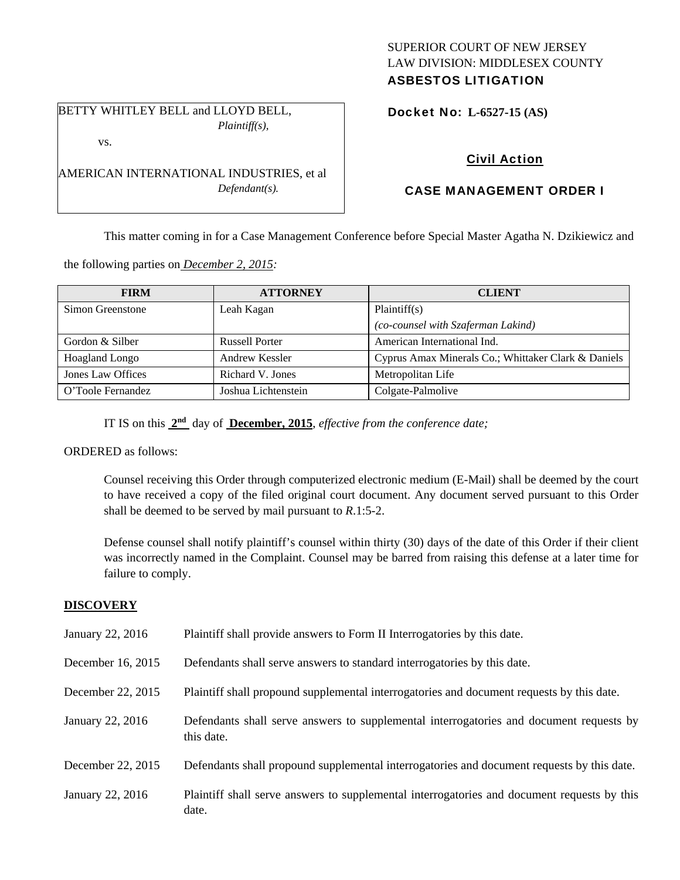## SUPERIOR COURT OF NEW JERSEY LAW DIVISION: MIDDLESEX COUNTY ASBESTOS LITIGATION

BETTY WHITLEY BELL and LLOYD BELL, *Plaintiff(s),*  vs.

AMERICAN INTERNATIONAL INDUSTRIES, et al

*Defendant(s).* 

Docket No: **L-6527-15 (AS)** 

# Civil Action

# CASE MANAGEMENT ORDER I

This matter coming in for a Case Management Conference before Special Master Agatha N. Dzikiewicz and

the following parties on *December 2, 2015:* 

| <b>FIRM</b>           | <b>ATTORNEY</b>       | <b>CLIENT</b>                                       |
|-----------------------|-----------------------|-----------------------------------------------------|
| Simon Greenstone      | Leah Kagan            | Plaintiff(s)                                        |
|                       |                       | (co-counsel with Szaferman Lakind)                  |
| Gordon & Silber       | <b>Russell Porter</b> | American International Ind.                         |
| <b>Hoagland Longo</b> | Andrew Kessler        | Cyprus Amax Minerals Co.; Whittaker Clark & Daniels |
| Jones Law Offices     | Richard V. Jones      | Metropolitan Life                                   |
| O'Toole Fernandez     | Joshua Lichtenstein   | Colgate-Palmolive                                   |

IT IS on this **2nd** day of **December, 2015**, *effective from the conference date;*

ORDERED as follows:

Counsel receiving this Order through computerized electronic medium (E-Mail) shall be deemed by the court to have received a copy of the filed original court document. Any document served pursuant to this Order shall be deemed to be served by mail pursuant to *R*.1:5-2.

Defense counsel shall notify plaintiff's counsel within thirty (30) days of the date of this Order if their client was incorrectly named in the Complaint. Counsel may be barred from raising this defense at a later time for failure to comply.

## **DISCOVERY**

| January 22, 2016  | Plaintiff shall provide answers to Form II Interrogatories by this date.                              |
|-------------------|-------------------------------------------------------------------------------------------------------|
| December 16, 2015 | Defendants shall serve answers to standard interrogatories by this date.                              |
| December 22, 2015 | Plaintiff shall propound supplemental interrogatories and document requests by this date.             |
| January 22, 2016  | Defendants shall serve answers to supplemental interrogatories and document requests by<br>this date. |
| December 22, 2015 | Defendants shall propound supplemental interrogatories and document requests by this date.            |
| January 22, 2016  | Plaintiff shall serve answers to supplemental interrogatories and document requests by this<br>date.  |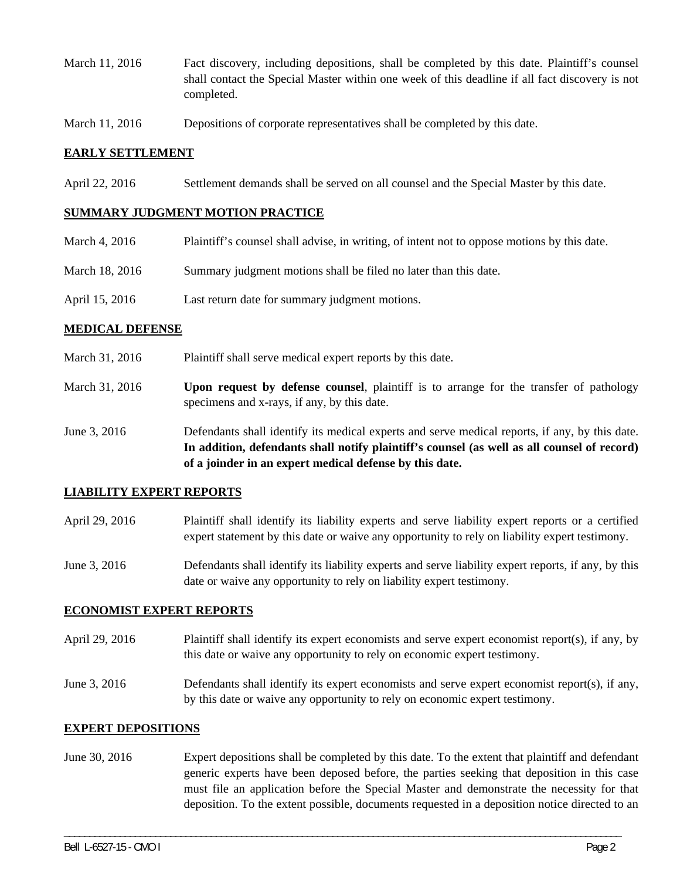- March 11, 2016 Fact discovery, including depositions, shall be completed by this date. Plaintiff's counsel shall contact the Special Master within one week of this deadline if all fact discovery is not completed.
- March 11, 2016 Depositions of corporate representatives shall be completed by this date.

## **EARLY SETTLEMENT**

April 22, 2016 Settlement demands shall be served on all counsel and the Special Master by this date.

### **SUMMARY JUDGMENT MOTION PRACTICE**

- March 4, 2016 Plaintiff's counsel shall advise, in writing, of intent not to oppose motions by this date.
- March 18, 2016 Summary judgment motions shall be filed no later than this date.
- April 15, 2016 Last return date for summary judgment motions.

## **MEDICAL DEFENSE**

- March 31, 2016 Plaint if shall serve medical expert reports by this date.
- March 31, 2016 **Upon request by defense counsel**, plaintiff is to arrange for the transfer of pathology specimens and x-rays, if any, by this date.
- June 3, 2016 Defendants shall identify its medical experts and serve medical reports, if any, by this date. **In addition, defendants shall notify plaintiff's counsel (as well as all counsel of record) of a joinder in an expert medical defense by this date.**

### **LIABILITY EXPERT REPORTS**

- April 29, 2016 Plaintiff shall identify its liability experts and serve liability expert reports or a certified expert statement by this date or waive any opportunity to rely on liability expert testimony.
- June 3, 2016 Defendants shall identify its liability experts and serve liability expert reports, if any, by this date or waive any opportunity to rely on liability expert testimony.

### **ECONOMIST EXPERT REPORTS**

- April 29, 2016 Plaintiff shall identify its expert economists and serve expert economist report(s), if any, by this date or waive any opportunity to rely on economic expert testimony.
- June 3, 2016 Defendants shall identify its expert economists and serve expert economist report(s), if any, by this date or waive any opportunity to rely on economic expert testimony.

### **EXPERT DEPOSITIONS**

June 30, 2016 Expert depositions shall be completed by this date. To the extent that plaintiff and defendant generic experts have been deposed before, the parties seeking that deposition in this case must file an application before the Special Master and demonstrate the necessity for that deposition. To the extent possible, documents requested in a deposition notice directed to an

\_\_\_\_\_\_\_\_\_\_\_\_\_\_\_\_\_\_\_\_\_\_\_\_\_\_\_\_\_\_\_\_\_\_\_\_\_\_\_\_\_\_\_\_\_\_\_\_\_\_\_\_\_\_\_\_\_\_\_\_\_\_\_\_\_\_\_\_\_\_\_\_\_\_\_\_\_\_\_\_\_\_\_\_\_\_\_\_\_\_\_\_\_\_\_\_\_\_\_\_\_\_\_\_\_\_\_\_\_\_